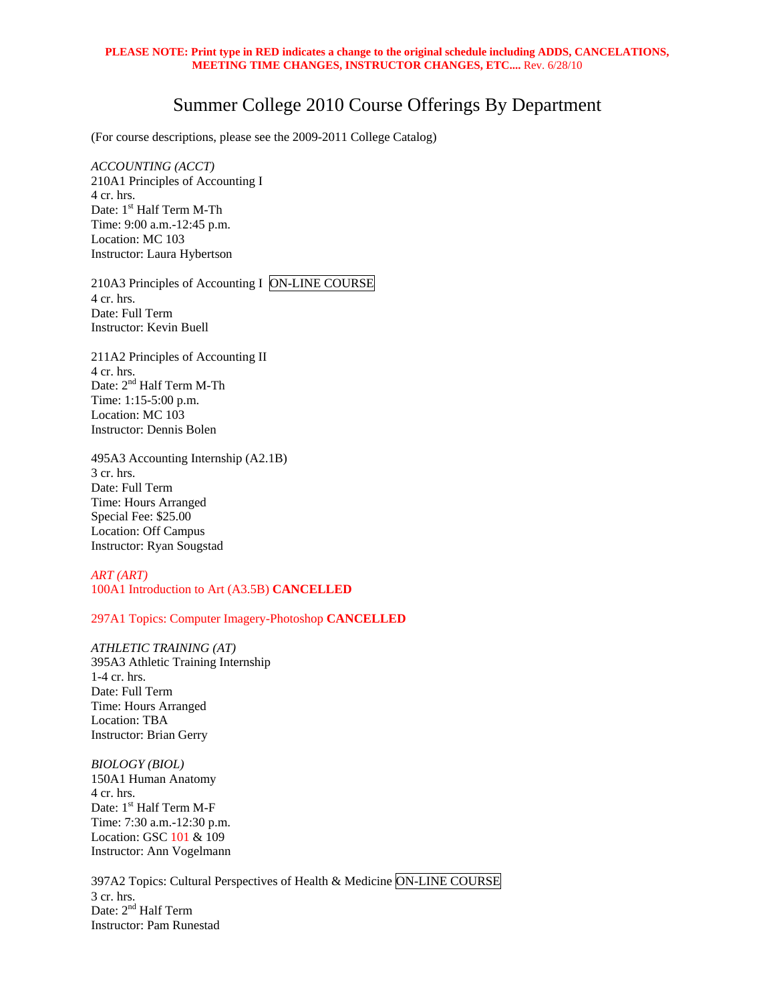#### **PLEASE NOTE: Print type in RED indicates a change to the original schedule including ADDS, CANCELATIONS, MEETING TIME CHANGES, INSTRUCTOR CHANGES, ETC....** Rev. 6/28/10

# Summer College 2010 Course Offerings By Department

(For course descriptions, please see the 2009-2011 College Catalog)

*ACCOUNTING (ACCT)* 210A1 Principles of Accounting I 4 cr. hrs. Date: 1<sup>st</sup> Half Term M-Th Time: 9:00 a.m.-12:45 p.m. Location: MC 103 Instructor: Laura Hybertson

210A3 Principles of Accounting I ON-LINE COURSE 4 cr. hrs. Date: Full Term Instructor: Kevin Buell

211A2 Principles of Accounting II 4 cr. hrs. Date: 2<sup>nd</sup> Half Term M-Th Time: 1:15-5:00 p.m. Location: MC 103 Instructor: Dennis Bolen

495A3 Accounting Internship (A2.1B) 3 cr. hrs. Date: Full Term Time: Hours Arranged Special Fee: \$25.00 Location: Off Campus Instructor: Ryan Sougstad

## *ART (ART)*  100A1 Introduction to Art (A3.5B) **CANCELLED**

#### 297A1 Topics: Computer Imagery-Photoshop **CANCELLED**

*ATHLETIC TRAINING (AT)*  395A3 Athletic Training Internship 1-4 cr. hrs. Date: Full Term Time: Hours Arranged Location: TBA Instructor: Brian Gerry

*BIOLOGY (BIOL)*  150A1 Human Anatomy 4 cr. hrs. Date: 1<sup>st</sup> Half Term M-F Time: 7:30 a.m.-12:30 p.m. Location: GSC 101 & 109 Instructor: Ann Vogelmann

397A2 Topics: Cultural Perspectives of Health & Medicine ON-LINE COURSE 3 cr. hrs. Date: 2<sup>nd</sup> Half Term Instructor: Pam Runestad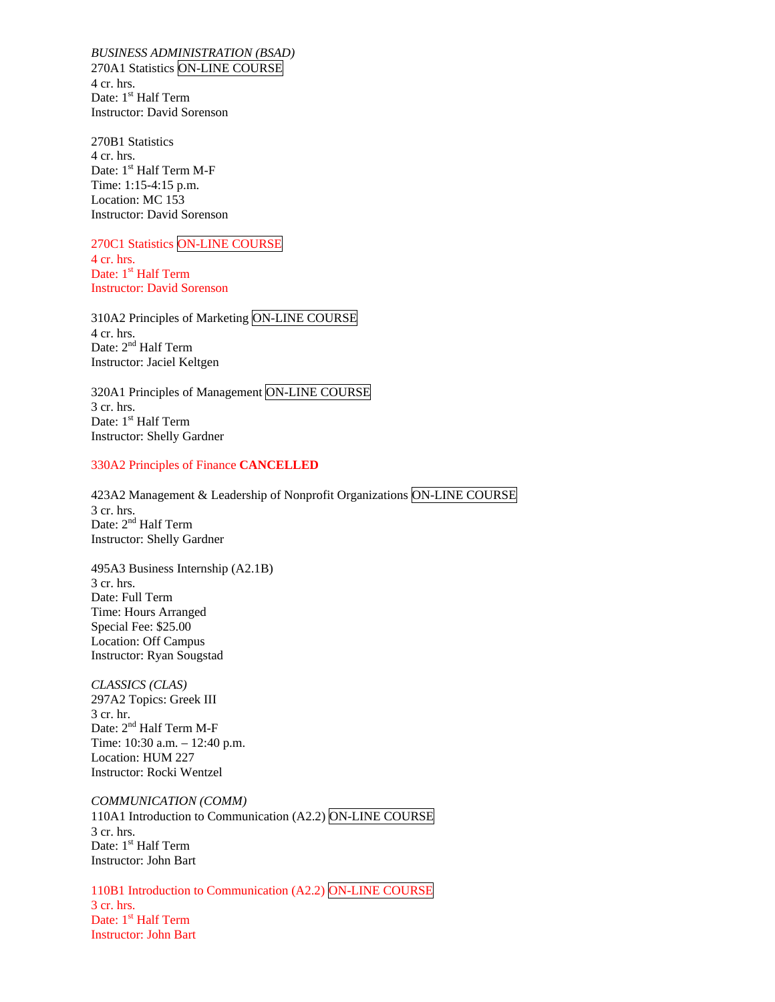*BUSINESS ADMINISTRATION (BSAD)*  270A1 Statistics ON-LINE COURSE 4 cr. hrs. Date: 1<sup>st</sup> Half Term Instructor: David Sorenson

270B1 Statistics 4 cr. hrs. Date: 1<sup>st</sup> Half Term M-F Time: 1:15-4:15 p.m. Location: MC 153 Instructor: David Sorenson

270C1 Statistics ON-LINE COURSE 4 cr. hrs. Date: 1<sup>st</sup> Half Term Instructor: David Sorenson

310A2 Principles of Marketing ON-LINE COURSE 4 cr. hrs. Date: 2<sup>nd</sup> Half Term Instructor: Jaciel Keltgen

320A1 Principles of Management ON-LINE COURSE 3 cr. hrs. Date: 1<sup>st</sup> Half Term Instructor: Shelly Gardner

### 330A2 Principles of Finance **CANCELLED**

423A2 Management & Leadership of Nonprofit Organizations ON-LINE COURSE 3 cr. hrs. Date: 2<sup>nd</sup> Half Term Instructor: Shelly Gardner

495A3 Business Internship (A2.1B) 3 cr. hrs. Date: Full Term Time: Hours Arranged Special Fee: \$25.00 Location: Off Campus Instructor: Ryan Sougstad

*CLASSICS (CLAS)*  297A2 Topics: Greek III 3 cr. hr. Date: 2<sup>nd</sup> Half Term M-F Time: 10:30 a.m. – 12:40 p.m. Location: HUM 227 Instructor: Rocki Wentzel

*COMMUNICATION (COMM)* 110A1 Introduction to Communication (A2.2) ON-LINE COURSE 3 cr. hrs. Date: 1<sup>st</sup> Half Term Instructor: John Bart

110B1 Introduction to Communication (A2.2) ON-LINE COURSE 3 cr. hrs. Date: 1<sup>st</sup> Half Term Instructor: John Bart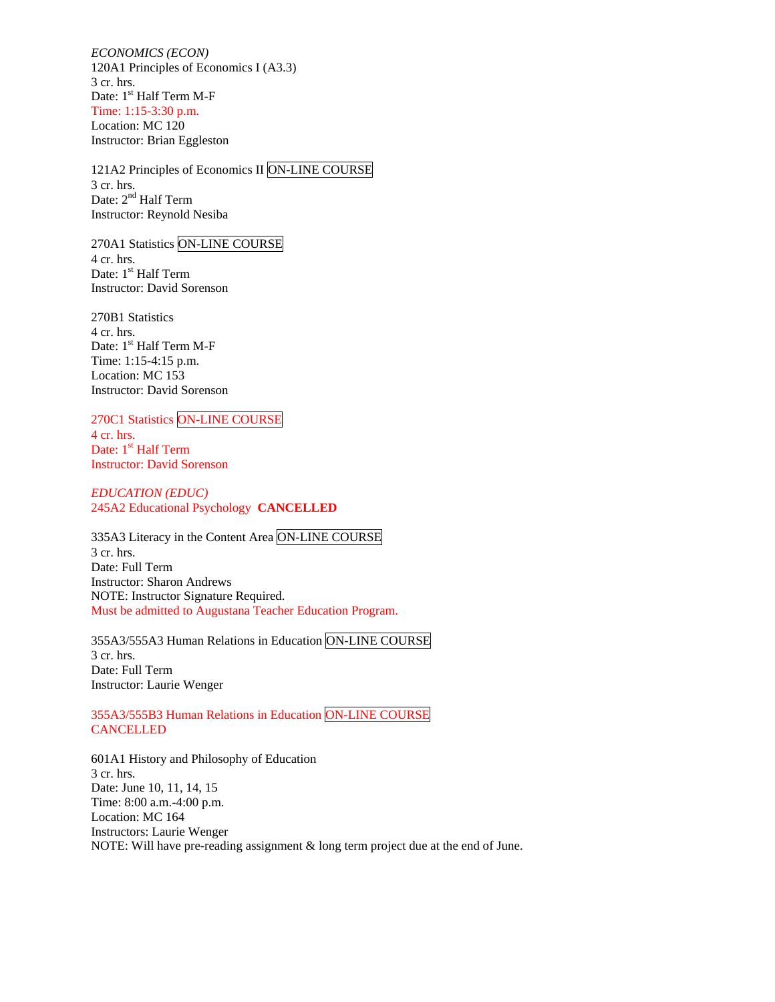*ECONOMICS (ECON)* 120A1 Principles of Economics I (A3.3) 3 cr. hrs. Date: 1<sup>st</sup> Half Term M-F Time: 1:15-3:30 p.m. Location: MC 120 Instructor: Brian Eggleston

121A2 Principles of Economics II ON-LINE COURSE 3 cr. hrs. Date: 2<sup>nd</sup> Half Term Instructor: Reynold Nesiba

270A1 Statistics ON-LINE COURSE 4 cr. hrs. Date: 1<sup>st</sup> Half Term Instructor: David Sorenson

270B1 Statistics 4 cr. hrs. Date: 1<sup>st</sup> Half Term M-F Time: 1:15-4:15 p.m. Location: MC 153 Instructor: David Sorenson

## 270C1 Statistics ON-LINE COURSE

4 cr. hrs. Date: 1<sup>st</sup> Half Term Instructor: David Sorenson

*EDUCATION (EDUC)*  245A2 Educational Psychology **CANCELLED** 

335A3 Literacy in the Content Area ON-LINE COURSE 3 cr. hrs. Date: Full Term Instructor: Sharon Andrews NOTE: Instructor Signature Required. Must be admitted to Augustana Teacher Education Program.

355A3/555A3 Human Relations in Education ON-LINE COURSE 3 cr. hrs. Date: Full Term Instructor: Laurie Wenger

355A3/555B3 Human Relations in Education ON-LINE COURSE **CANCELLED** 

601A1 History and Philosophy of Education 3 cr. hrs. Date: June 10, 11, 14, 15 Time: 8:00 a.m.-4:00 p.m. Location: MC 164 Instructors: Laurie Wenger NOTE: Will have pre-reading assignment & long term project due at the end of June.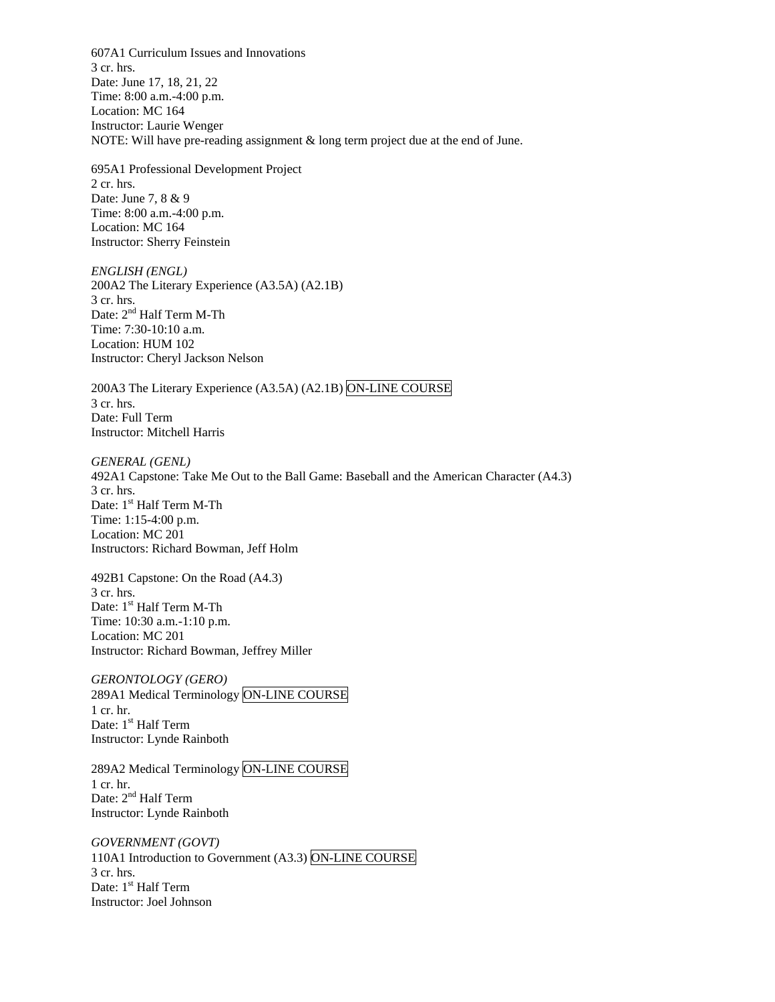607A1 Curriculum Issues and Innovations 3 cr. hrs. Date: June 17, 18, 21, 22 Time: 8:00 a.m.-4:00 p.m. Location: MC 164 Instructor: Laurie Wenger NOTE: Will have pre-reading assignment & long term project due at the end of June.

695A1 Professional Development Project 2 cr. hrs. Date: June 7, 8 & 9 Time: 8:00 a.m.-4:00 p.m. Location: MC 164 Instructor: Sherry Feinstein

*ENGLISH (ENGL)*  200A2 The Literary Experience (A3.5A) (A2.1B) 3 cr. hrs. Date: 2<sup>nd</sup> Half Term M-Th Time: 7:30-10:10 a.m. Location: HUM 102 Instructor: Cheryl Jackson Nelson

200A3 The Literary Experience (A3.5A) (A2.1B) ON-LINE COURSE 3 cr. hrs. Date: Full Term Instructor: Mitchell Harris

*GENERAL (GENL)*  492A1 Capstone: Take Me Out to the Ball Game: Baseball and the American Character (A4.3) 3 cr. hrs. Date: 1<sup>st</sup> Half Term M-Th Time: 1:15-4:00 p.m. Location: MC 201 Instructors: Richard Bowman, Jeff Holm

492B1 Capstone: On the Road (A4.3) 3 cr. hrs. Date: 1<sup>st</sup> Half Term M-Th Time: 10:30 a.m.-1:10 p.m. Location: MC 201 Instructor: Richard Bowman, Jeffrey Miller

*GERONTOLOGY (GERO)*  289A1 Medical Terminology ON-LINE COURSE 1 cr. hr. Date: 1<sup>st</sup> Half Term Instructor: Lynde Rainboth

289A2 Medical Terminology ON-LINE COURSE 1 cr. hr. Date: 2<sup>nd</sup> Half Term Instructor: Lynde Rainboth

*GOVERNMENT (GOVT)*  110A1 Introduction to Government (A3.3) ON-LINE COURSE 3 cr. hrs. Date: 1<sup>st</sup> Half Term Instructor: Joel Johnson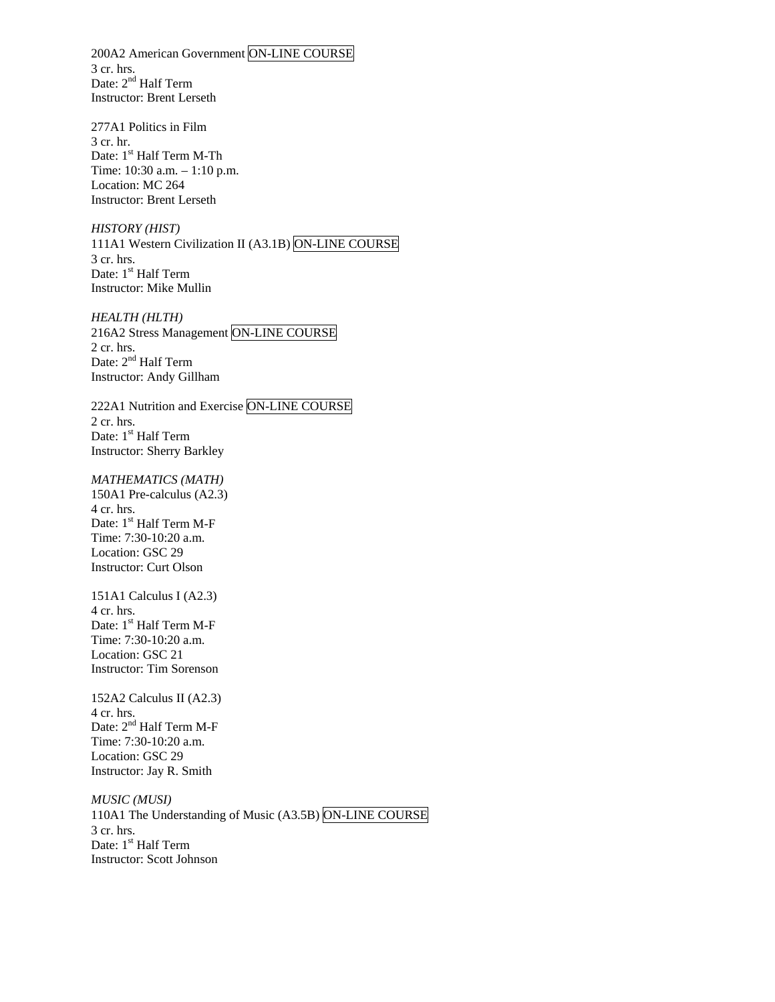200A2 American Government ON-LINE COURSE 3 cr. hrs. Date: 2<sup>nd</sup> Half Term Instructor: Brent Lerseth

277A1 Politics in Film 3 cr. hr. Date: 1<sup>st</sup> Half Term M-Th Time: 10:30 a.m. – 1:10 p.m. Location: MC 264 Instructor: Brent Lerseth

*HISTORY (HIST)*  111A1 Western Civilization II (A3.1B) ON-LINE COURSE 3 cr. hrs. Date: 1<sup>st</sup> Half Term Instructor: Mike Mullin

*HEALTH (HLTH)*  216A2 Stress Management ON-LINE COURSE 2 cr. hrs. Date: 2<sup>nd</sup> Half Term Instructor: Andy Gillham

222A1 Nutrition and Exercise ON-LINE COURSE 2 cr. hrs. Date: 1<sup>st</sup> Half Term Instructor: Sherry Barkley

# *MATHEMATICS (MATH)*

150A1 Pre-calculus (A2.3) 4 cr. hrs. Date: 1<sup>st</sup> Half Term M-F Time: 7:30-10:20 a.m. Location: GSC 29 Instructor: Curt Olson

151A1 Calculus I (A2.3) 4 cr. hrs. Date: 1<sup>st</sup> Half Term M-F Time: 7:30-10:20 a.m. Location: GSC 21 Instructor: Tim Sorenson

152A2 Calculus II (A2.3) 4 cr. hrs. Date: 2<sup>nd</sup> Half Term M-F Time: 7:30-10:20 a.m. Location: GSC 29 Instructor: Jay R. Smith

*MUSIC (MUSI)* 110A1 The Understanding of Music (A3.5B) ON-LINE COURSE 3 cr. hrs. Date: 1<sup>st</sup> Half Term Instructor: Scott Johnson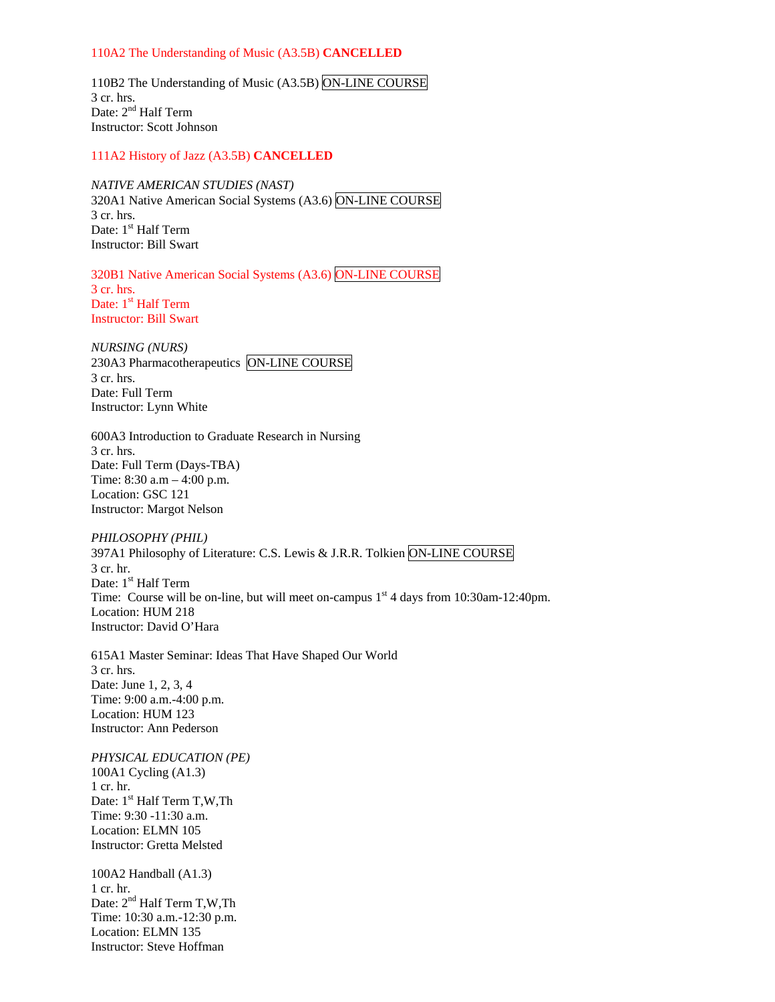#### 110A2 The Understanding of Music (A3.5B) **CANCELLED**

110B2 The Understanding of Music (A3.5B) ON-LINE COURSE 3 cr. hrs. Date: 2<sup>nd</sup> Half Term Instructor: Scott Johnson

### 111A2 History of Jazz (A3.5B) **CANCELLED**

*NATIVE AMERICAN STUDIES (NAST)* 

320A1 Native American Social Systems (A3.6) ON-LINE COURSE 3 cr. hrs. Date: 1<sup>st</sup> Half Term Instructor: Bill Swart

320B1 Native American Social Systems (A3.6) ON-LINE COURSE 3 cr. hrs. Date: 1<sup>st</sup> Half Term Instructor: Bill Swart

*NURSING (NURS)*  230A3 Pharmacotherapeutics ON-LINE COURSE 3 cr. hrs. Date: Full Term Instructor: Lynn White

600A3 Introduction to Graduate Research in Nursing 3 cr. hrs. Date: Full Term (Days-TBA) Time: 8:30 a.m – 4:00 p.m. Location: GSC 121 Instructor: Margot Nelson

*PHILOSOPHY (PHIL)*  397A1 Philosophy of Literature: C.S. Lewis & J.R.R. Tolkien ON-LINE COURSE 3 cr. hr. Date: 1<sup>st</sup> Half Term Time: Course will be on-line, but will meet on-campus  $1<sup>st</sup> 4$  days from 10:30am-12:40pm. Location: HUM 218 Instructor: David O'Hara

615A1 Master Seminar: Ideas That Have Shaped Our World 3 cr. hrs. Date: June 1, 2, 3, 4 Time: 9:00 a.m.-4:00 p.m. Location: HUM 123 Instructor: Ann Pederson

*PHYSICAL EDUCATION (PE)* 100A1 Cycling (A1.3) 1 cr. hr. Date: 1<sup>st</sup> Half Term T,W,Th Time: 9:30 -11:30 a.m. Location: ELMN 105 Instructor: Gretta Melsted

100A2 Handball (A1.3) 1 cr. hr. Date:  $2<sup>nd</sup>$  Half Term T,W,Th Time: 10:30 a.m.-12:30 p.m. Location: ELMN 135 Instructor: Steve Hoffman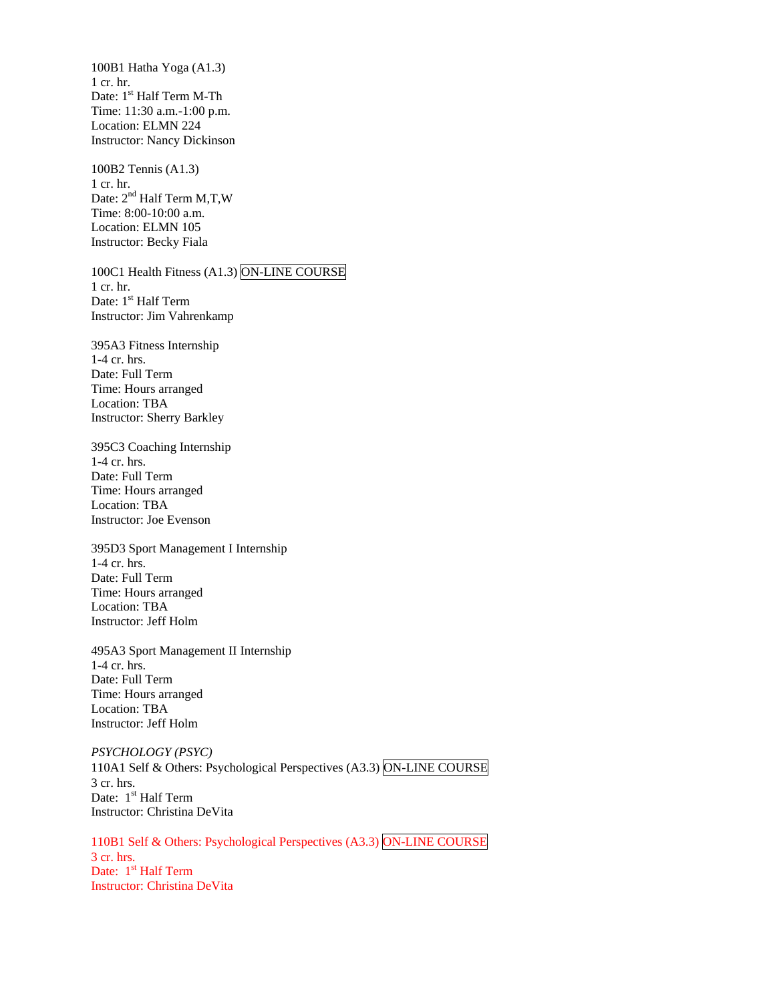100B1 Hatha Yoga (A1.3) 1 cr. hr. Date: 1<sup>st</sup> Half Term M-Th Time: 11:30 a.m.-1:00 p.m. Location: ELMN 224 Instructor: Nancy Dickinson

100B2 Tennis (A1.3) 1 cr. hr. Date:  $2<sup>nd</sup>$  Half Term M,T,W Time: 8:00-10:00 a.m. Location: ELMN 105 Instructor: Becky Fiala

100C1 Health Fitness (A1.3) ON-LINE COURSE 1 cr. hr. Date: 1<sup>st</sup> Half Term Instructor: Jim Vahrenkamp

395A3 Fitness Internship 1-4 cr. hrs. Date: Full Term Time: Hours arranged Location: TBA Instructor: Sherry Barkley

395C3 Coaching Internship 1-4 cr. hrs. Date: Full Term Time: Hours arranged Location: TBA Instructor: Joe Evenson

395D3 Sport Management I Internship 1-4 cr. hrs. Date: Full Term Time: Hours arranged Location: TBA Instructor: Jeff Holm

495A3 Sport Management II Internship 1-4 cr. hrs. Date: Full Term Time: Hours arranged Location: TBA Instructor: Jeff Holm

*PSYCHOLOGY (PSYC)* 110A1 Self & Others: Psychological Perspectives (A3.3) ON-LINE COURSE 3 cr. hrs. Date:  $1<sup>st</sup>$  Half Term Instructor: Christina DeVita

110B1 Self & Others: Psychological Perspectives (A3.3) ON-LINE COURSE 3 cr. hrs. Date: 1<sup>st</sup> Half Term Instructor: Christina DeVita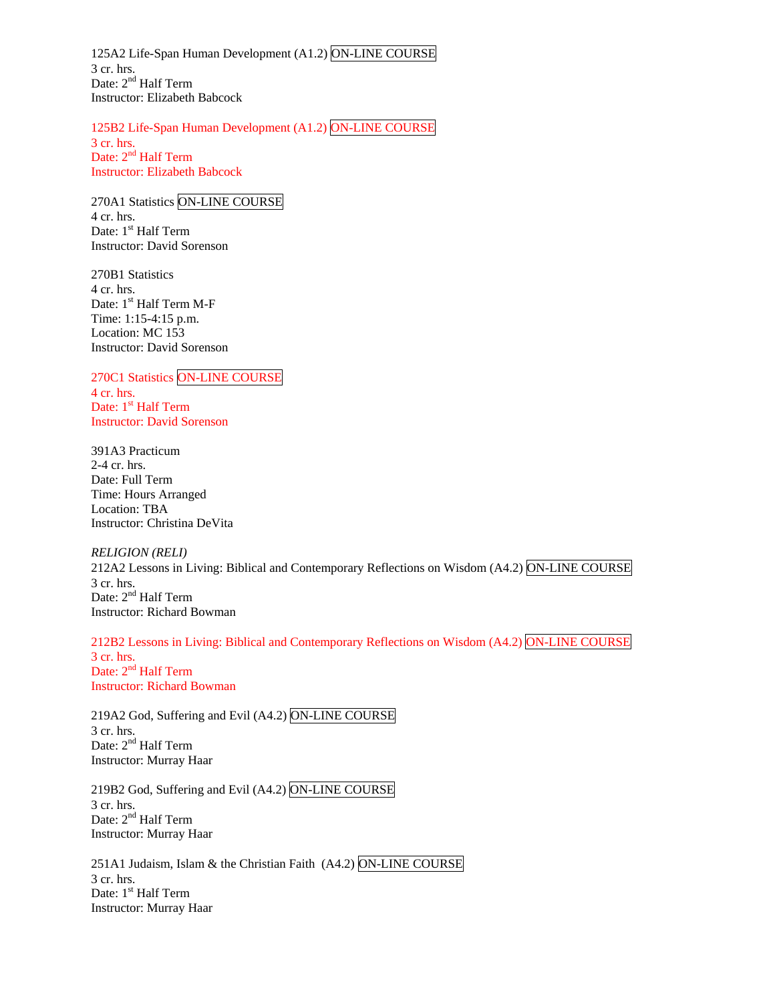125A2 Life-Span Human Development (A1.2) ON-LINE COURSE 3 cr. hrs. Date: 2<sup>nd</sup> Half Term Instructor: Elizabeth Babcock

125B2 Life-Span Human Development (A1.2) ON-LINE COURSE 3 cr. hrs. Date: 2<sup>nd</sup> Half Term Instructor: Elizabeth Babcock

270A1 Statistics ON-LINE COURSE 4 cr. hrs. Date: 1<sup>st</sup> Half Term Instructor: David Sorenson

270B1 Statistics 4 cr. hrs. Date: 1<sup>st</sup> Half Term M-F Time: 1:15-4:15 p.m. Location: MC 153 Instructor: David Sorenson

270C1 Statistics ON-LINE COURSE 4 cr. hrs. Date: 1<sup>st</sup> Half Term Instructor: David Sorenson

391A3 Practicum 2-4 cr. hrs. Date: Full Term Time: Hours Arranged Location: TBA Instructor: Christina DeVita

*RELIGION (RELI)*  212A2 Lessons in Living: Biblical and Contemporary Reflections on Wisdom (A4.2) ON-LINE COURSE 3 cr. hrs. Date: 2<sup>nd</sup> Half Term Instructor: Richard Bowman

212B2 Lessons in Living: Biblical and Contemporary Reflections on Wisdom (A4.2) ON-LINE COURSE 3 cr. hrs. Date: 2<sup>nd</sup> Half Term Instructor: Richard Bowman

219A2 God, Suffering and Evil (A4.2) ON-LINE COURSE 3 cr. hrs. Date: 2<sup>nd</sup> Half Term Instructor: Murray Haar

219B2 God, Suffering and Evil (A4.2) ON-LINE COURSE 3 cr. hrs. Date: 2<sup>nd</sup> Half Term Instructor: Murray Haar

251A1 Judaism, Islam & the Christian Faith (A4.2) ON-LINE COURSE 3 cr. hrs. Date: 1<sup>st</sup> Half Term Instructor: Murray Haar